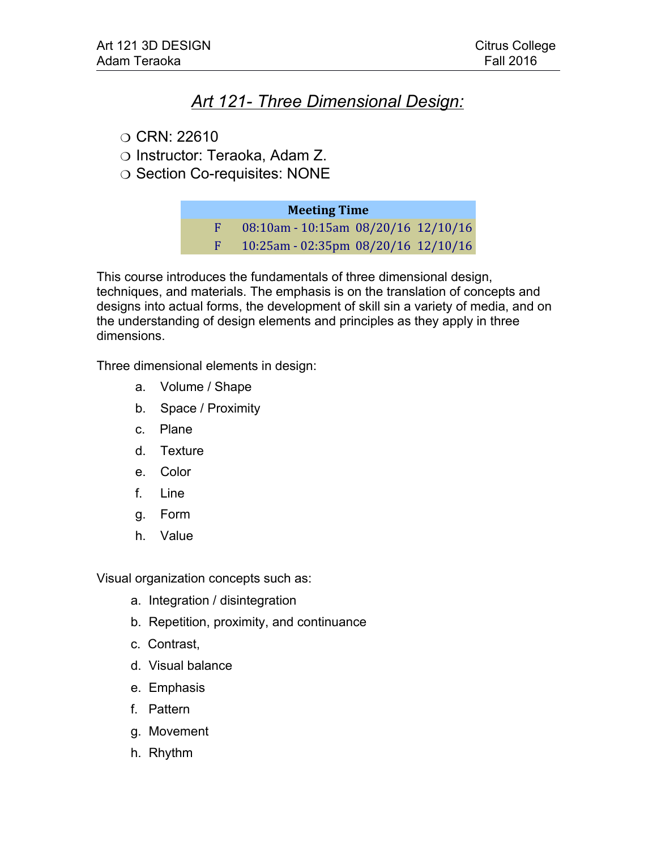## *Art 121- Three Dimensional Design:*

- $\circ$  CRN: 22610
- Instructor: Teraoka, Adam Z.
- O Section Co-requisites: NONE

### **Meeting Time**

F 08:10am - 10:15am 08/20/16 12/10/16 F 10:25am - 02:35pm 08/20/16 12/10/16

This course introduces the fundamentals of three dimensional design, techniques, and materials. The emphasis is on the translation of concepts and designs into actual forms, the development of skill sin a variety of media, and on the understanding of design elements and principles as they apply in three dimensions.

Three dimensional elements in design:

- a. Volume / Shape
- b. Space / Proximity
- c. Plane
- d. Texture
- e. Color
- f. Line
- g. Form
- h. Value

Visual organization concepts such as:

- a. Integration / disintegration
- b. Repetition, proximity, and continuance
- c. Contrast,
- d. Visual balance
- e. Emphasis
- f. Pattern
- g. Movement
- h. Rhythm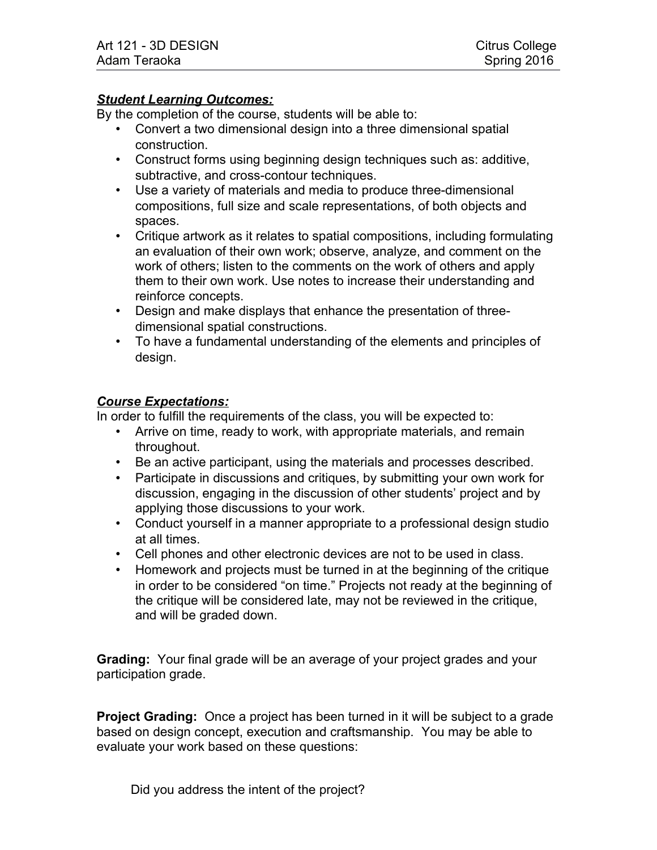### *Student Learning Outcomes:*

By the completion of the course, students will be able to:

- Convert a two dimensional design into a three dimensional spatial construction.
- Construct forms using beginning design techniques such as: additive, subtractive, and cross-contour techniques.
- Use a variety of materials and media to produce three-dimensional compositions, full size and scale representations, of both objects and spaces.
- Critique artwork as it relates to spatial compositions, including formulating an evaluation of their own work; observe, analyze, and comment on the work of others; listen to the comments on the work of others and apply them to their own work. Use notes to increase their understanding and reinforce concepts.
- Design and make displays that enhance the presentation of threedimensional spatial constructions.
- To have a fundamental understanding of the elements and principles of design.

### *Course Expectations:*

In order to fulfill the requirements of the class, you will be expected to:

- Arrive on time, ready to work, with appropriate materials, and remain throughout.
- Be an active participant, using the materials and processes described.
- Participate in discussions and critiques, by submitting your own work for discussion, engaging in the discussion of other students' project and by applying those discussions to your work.
- Conduct yourself in a manner appropriate to a professional design studio at all times.
- Cell phones and other electronic devices are not to be used in class.
- Homework and projects must be turned in at the beginning of the critique in order to be considered "on time." Projects not ready at the beginning of the critique will be considered late, may not be reviewed in the critique, and will be graded down.

**Grading:** Your final grade will be an average of your project grades and your participation grade.

**Project Grading:** Once a project has been turned in it will be subject to a grade based on design concept, execution and craftsmanship. You may be able to evaluate your work based on these questions:

Did you address the intent of the project?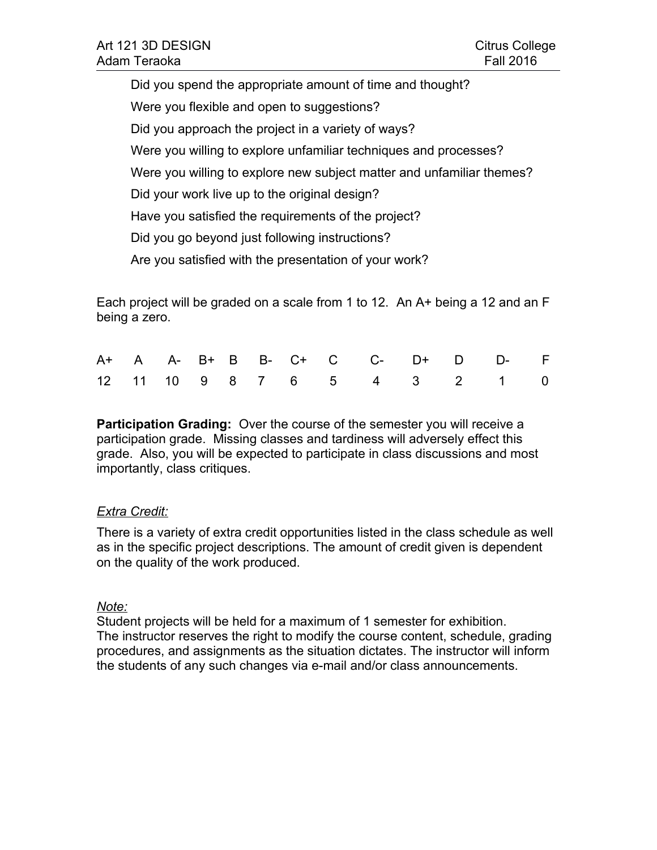| Adam Teraoka      | <b>Fall 2016</b> |
|-------------------|------------------|
| Art 121 3D DESIGN | Citrus College   |

Did you spend the appropriate amount of time and thought? Were you flexible and open to suggestions? Did you approach the project in a variety of ways? Were you willing to explore unfamiliar techniques and processes? Were you willing to explore new subject matter and unfamiliar themes? Did your work live up to the original design? Have you satisfied the requirements of the project? Did you go beyond just following instructions? Are you satisfied with the presentation of your work?

Each project will be graded on a scale from 1 to 12. An A+ being a 12 and an F being a zero.

|  |  |  |  |  | A+ A A- B+ B B- C+ C C- D+ D D- F |  |
|--|--|--|--|--|-----------------------------------|--|
|  |  |  |  |  | 12 11 10 9 8 7 6 5 4 3 2 1 0      |  |

**Participation Grading:** Over the course of the semester you will receive a participation grade. Missing classes and tardiness will adversely effect this grade. Also, you will be expected to participate in class discussions and most importantly, class critiques.

### *Extra Credit:*

There is a variety of extra credit opportunities listed in the class schedule as well as in the specific project descriptions. The amount of credit given is dependent on the quality of the work produced.

### *Note:*

Student projects will be held for a maximum of 1 semester for exhibition. The instructor reserves the right to modify the course content, schedule, grading procedures, and assignments as the situation dictates. The instructor will inform the students of any such changes via e-mail and/or class announcements.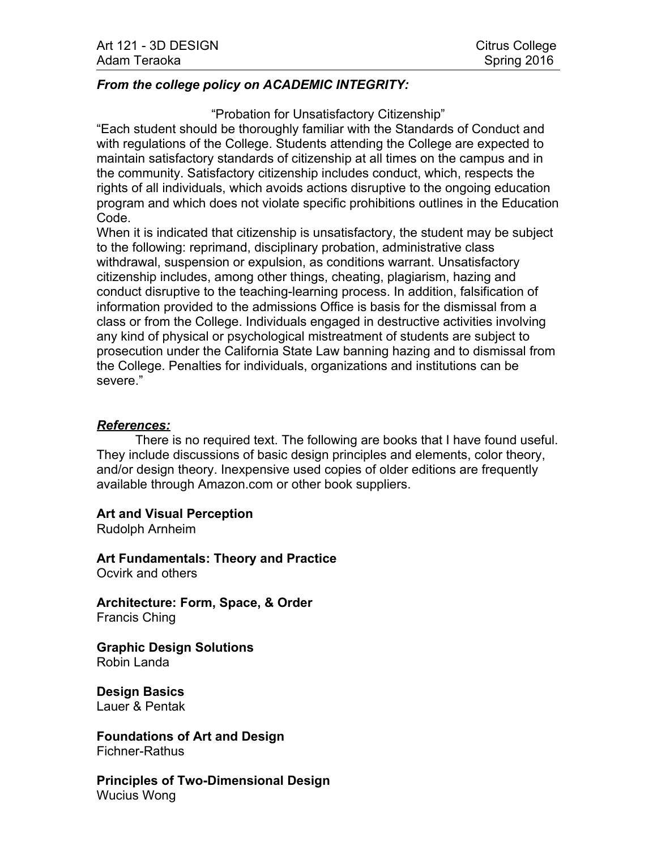### *From the college policy on ACADEMIC INTEGRITY:*

#### "Probation for Unsatisfactory Citizenship"

"Each student should be thoroughly familiar with the Standards of Conduct and with regulations of the College. Students attending the College are expected to maintain satisfactory standards of citizenship at all times on the campus and in the community. Satisfactory citizenship includes conduct, which, respects the rights of all individuals, which avoids actions disruptive to the ongoing education program and which does not violate specific prohibitions outlines in the Education Code.

When it is indicated that citizenship is unsatisfactory, the student may be subject to the following: reprimand, disciplinary probation, administrative class withdrawal, suspension or expulsion, as conditions warrant. Unsatisfactory citizenship includes, among other things, cheating, plagiarism, hazing and conduct disruptive to the teaching-learning process. In addition, falsification of information provided to the admissions Office is basis for the dismissal from a class or from the College. Individuals engaged in destructive activities involving any kind of physical or psychological mistreatment of students are subject to prosecution under the California State Law banning hazing and to dismissal from the College. Penalties for individuals, organizations and institutions can be severe."

### *References:*

There is no required text. The following are books that I have found useful. They include discussions of basic design principles and elements, color theory, and/or design theory. Inexpensive used copies of older editions are frequently available through Amazon.com or other book suppliers.

**Art and Visual Perception**

Rudolph Arnheim

**Art Fundamentals: Theory and Practice** Ocvirk and others

**Architecture: Form, Space, & Order** Francis Ching

**Graphic Design Solutions** Robin Landa

**Design Basics** Lauer & Pentak

**Foundations of Art and Design** Fichner-Rathus

**Principles of Two-Dimensional Design** Wucius Wong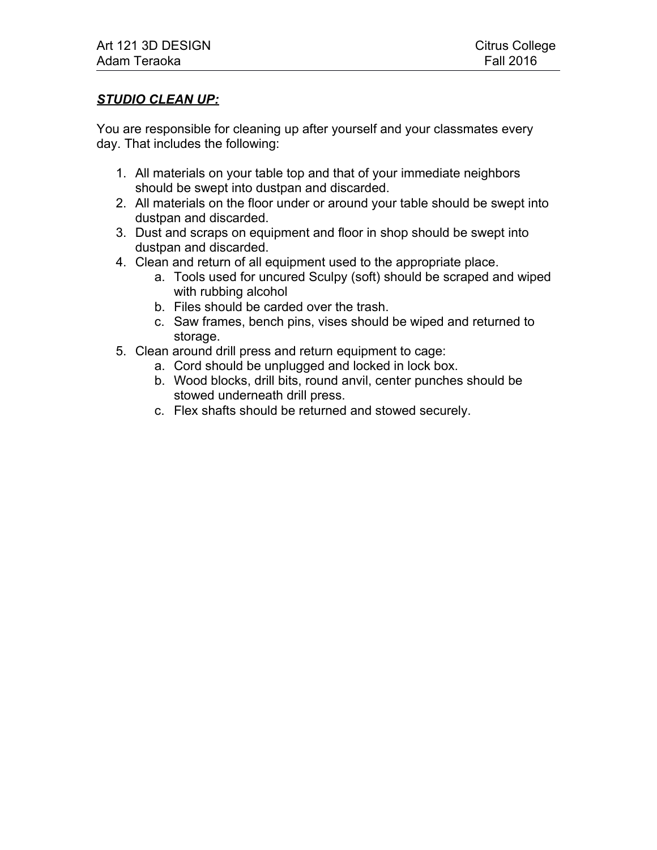### *STUDIO CLEAN UP:*

You are responsible for cleaning up after yourself and your classmates every day. That includes the following:

- 1. All materials on your table top and that of your immediate neighbors should be swept into dustpan and discarded.
- 2. All materials on the floor under or around your table should be swept into dustpan and discarded.
- 3. Dust and scraps on equipment and floor in shop should be swept into dustpan and discarded.
- 4. Clean and return of all equipment used to the appropriate place.
	- a. Tools used for uncured Sculpy (soft) should be scraped and wiped with rubbing alcohol
	- b. Files should be carded over the trash.
	- c. Saw frames, bench pins, vises should be wiped and returned to storage.
- 5. Clean around drill press and return equipment to cage:
	- a. Cord should be unplugged and locked in lock box.
	- b. Wood blocks, drill bits, round anvil, center punches should be stowed underneath drill press.
	- c. Flex shafts should be returned and stowed securely.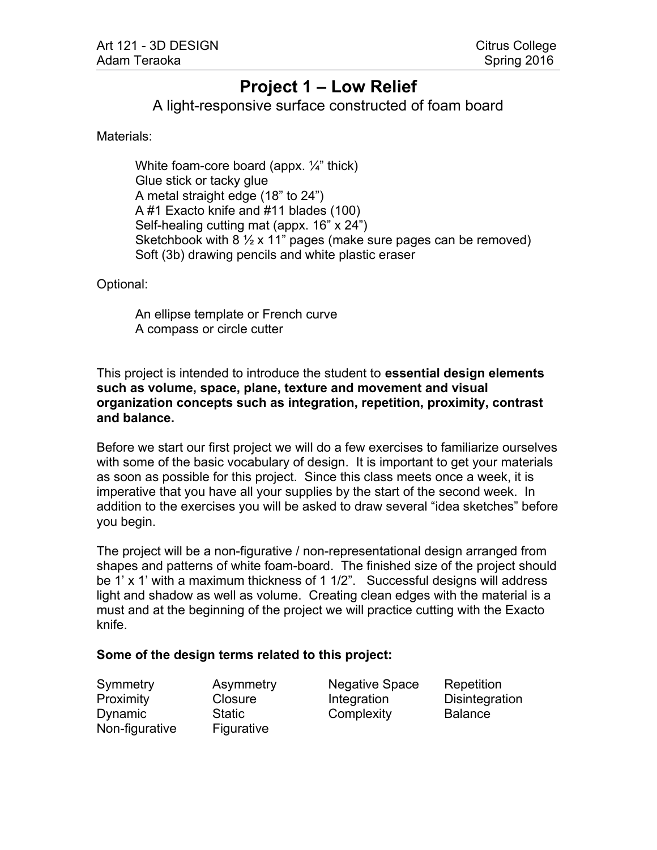# **Project 1 – Low Relief**

A light-responsive surface constructed of foam board

Materials:

White foam-core board (appx.  $\frac{1}{4}$ " thick) Glue stick or tacky glue A metal straight edge (18" to 24") A #1 Exacto knife and #11 blades (100) Self-healing cutting mat (appx. 16" x 24") Sketchbook with 8  $\frac{1}{2}$  x 11" pages (make sure pages can be removed) Soft (3b) drawing pencils and white plastic eraser

Optional:

An ellipse template or French curve A compass or circle cutter

This project is intended to introduce the student to **essential design elements such as volume, space, plane, texture and movement and visual organization concepts such as integration, repetition, proximity, contrast and balance.**

Before we start our first project we will do a few exercises to familiarize ourselves with some of the basic vocabulary of design. It is important to get your materials as soon as possible for this project. Since this class meets once a week, it is imperative that you have all your supplies by the start of the second week. In addition to the exercises you will be asked to draw several "idea sketches" before you begin.

The project will be a non-figurative / non-representational design arranged from shapes and patterns of white foam-board. The finished size of the project should be 1' x 1' with a maximum thickness of 1 1/2". Successful designs will address light and shadow as well as volume. Creating clean edges with the material is a must and at the beginning of the project we will practice cutting with the Exacto knife.

### **Some of the design terms related to this project:**

Symmetry Asymmetry Negative Space Repetition Non-figurative Figurative

Proximity Closure Integration Disintegration Dynamic Static Complexity Balance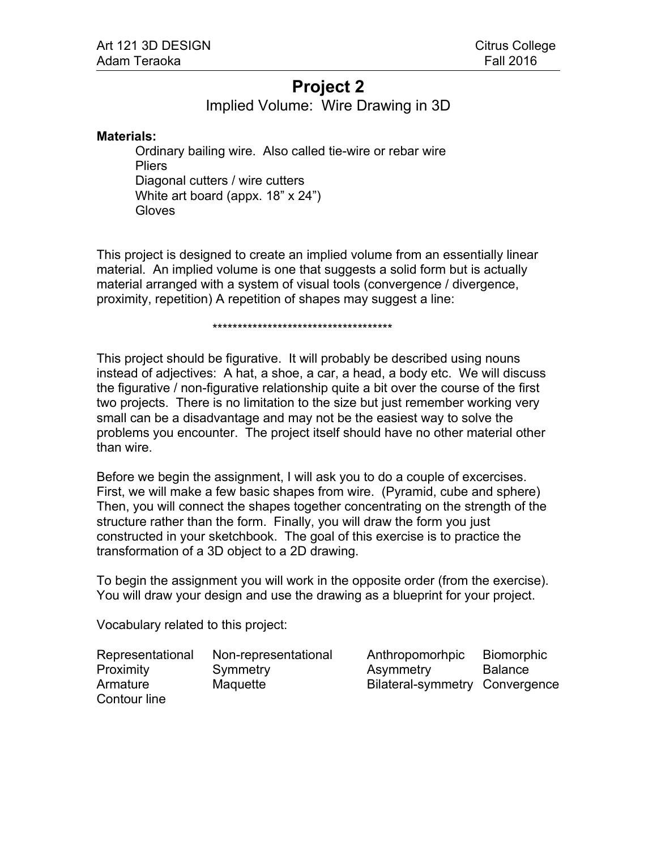# **Project 2**

Implied Volume: Wire Drawing in 3D

#### **Materials:**

Ordinary bailing wire. Also called tie-wire or rebar wire **Pliers** Diagonal cutters / wire cutters White art board (appx. 18" x 24") **Gloves** 

This project is designed to create an implied volume from an essentially linear material. An implied volume is one that suggests a solid form but is actually material arranged with a system of visual tools (convergence / divergence, proximity, repetition) A repetition of shapes may suggest a line:

#### \*\*\*\*\*\*\*\*\*\*\*\*\*\*\*\*\*\*\*\*\*\*\*\*\*\*\*\*\*\*\*\*\*\*\*\*

This project should be figurative. It will probably be described using nouns instead of adjectives: A hat, a shoe, a car, a head, a body etc. We will discuss the figurative / non-figurative relationship quite a bit over the course of the first two projects. There is no limitation to the size but just remember working very small can be a disadvantage and may not be the easiest way to solve the problems you encounter. The project itself should have no other material other than wire.

Before we begin the assignment, I will ask you to do a couple of excercises. First, we will make a few basic shapes from wire. (Pyramid, cube and sphere) Then, you will connect the shapes together concentrating on the strength of the structure rather than the form. Finally, you will draw the form you just constructed in your sketchbook. The goal of this exercise is to practice the transformation of a 3D object to a 2D drawing.

To begin the assignment you will work in the opposite order (from the exercise). You will draw your design and use the drawing as a blueprint for your project.

Vocabulary related to this project:

| Representational | Non-representational | Anthropomorhpic                | <b>Biomorphic</b> |
|------------------|----------------------|--------------------------------|-------------------|
| <b>Proximity</b> | Symmetry             | Asymmetry                      | <b>Balance</b>    |
| Armature         | Maquette             | Bilateral-symmetry Convergence |                   |
| Contour line     |                      |                                |                   |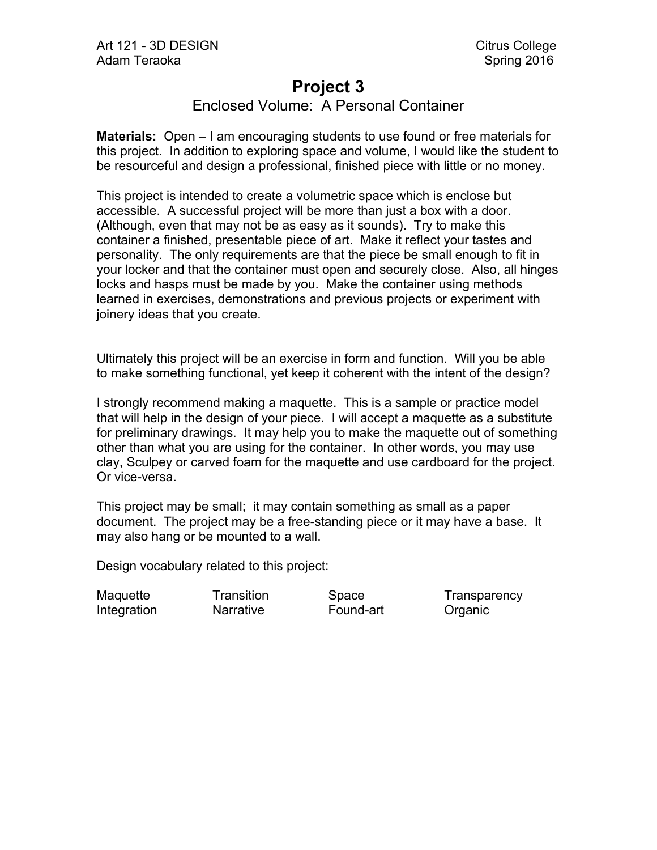# **Project 3**

### Enclosed Volume: A Personal Container

**Materials:** Open – I am encouraging students to use found or free materials for this project. In addition to exploring space and volume, I would like the student to be resourceful and design a professional, finished piece with little or no money.

This project is intended to create a volumetric space which is enclose but accessible. A successful project will be more than just a box with a door. (Although, even that may not be as easy as it sounds). Try to make this container a finished, presentable piece of art. Make it reflect your tastes and personality. The only requirements are that the piece be small enough to fit in your locker and that the container must open and securely close. Also, all hinges locks and hasps must be made by you. Make the container using methods learned in exercises, demonstrations and previous projects or experiment with joinery ideas that you create.

Ultimately this project will be an exercise in form and function. Will you be able to make something functional, yet keep it coherent with the intent of the design?

I strongly recommend making a maquette. This is a sample or practice model that will help in the design of your piece. I will accept a maquette as a substitute for preliminary drawings. It may help you to make the maquette out of something other than what you are using for the container. In other words, you may use clay, Sculpey or carved foam for the maquette and use cardboard for the project. Or vice-versa.

This project may be small; it may contain something as small as a paper document. The project may be a free-standing piece or it may have a base. It may also hang or be mounted to a wall.

Design vocabulary related to this project:

Integration **Narrative** Found-art Organic

Maquette Transition Space Transparency